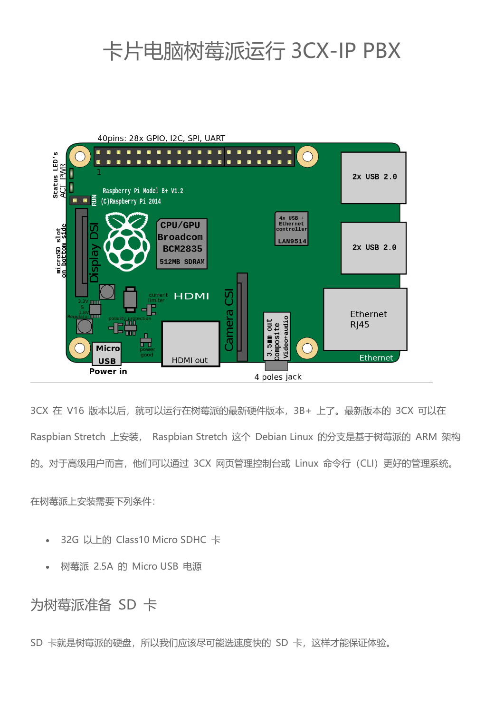## 卡片电脑树莓派运行 3CX-IP PBX



3CX 在 V16 版本以后, 就可以运行在树莓派的最新硬件版本, 3B+ 上了。最新版本的 3CX 可以在 Raspbian Stretch 上安装, Raspbian Stretch 这个 Debian Linux 的分支是基于树莓派的 ARM 架构 的。对于高级用户而言,他们可以通过 3CX 网页管理控制台或 Linux 命令行(CLI)更好的管理系统。

在树莓派上安装需要下列条件:

- 32G 以上的 Class10 Micro SDHC 卡
- 树莓派 2.5A 的 Micro USB 电源

为树莓派准备 SD 卡

SD 卡就是树莓派的硬盘,所以我们应该尽可能选速度快的 SD 卡, 这样才能保证体验。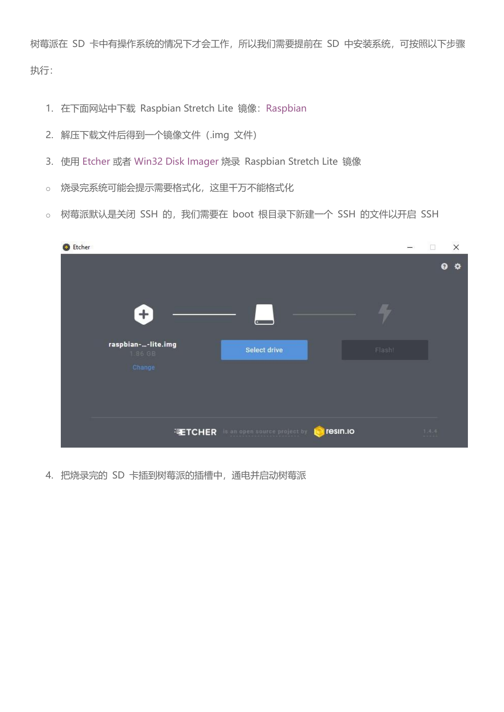树莓派在 SD 卡中有操作系统的情况下才会工作,所以我们需要提前在 SD 中安装系统,可按照以下步骤 执行:

- 1. 在下面网站中下载 [Raspbian](https://www.raspberrypi.org/downloads/raspbian/) Stretch Lite 镜像: Raspbian
- 2. 解压下载文件后得到一个镜像文件(.img 文件)
- 3. 使用 [Etcher](https://etcher.io/) 或者 [Win32 Disk Imager](https://sourceforge.net/projects/win32diskimager/) 烧录 Raspbian Stretch Lite 镜像
- o 烧录完系统可能会提示需要格式化,这里千万不能格式化
- o 树莓派默认是关闭 SSH 的, 我们需要在 boot 根目录下新建一个 SSH 的文件以开启 SSH

| Etcher |                                         |                              |          |        | П             | $\times$  |
|--------|-----------------------------------------|------------------------------|----------|--------|---------------|-----------|
|        |                                         |                              |          |        | $\bullet$     | $\bullet$ |
|        | $+$                                     | $\sim$                       |          |        |               |           |
|        | raspbian--lite.img<br>1.86 GB<br>Change | Select drive                 |          | Flasht |               |           |
|        |                                         |                              |          |        |               |           |
|        | <b>ETCHER</b>                           | is an open source project by | resin.io |        | 1.4.4<br>---- |           |

4. 把烧录完的 SD 卡插到树莓派的插槽中,通电并启动树莓派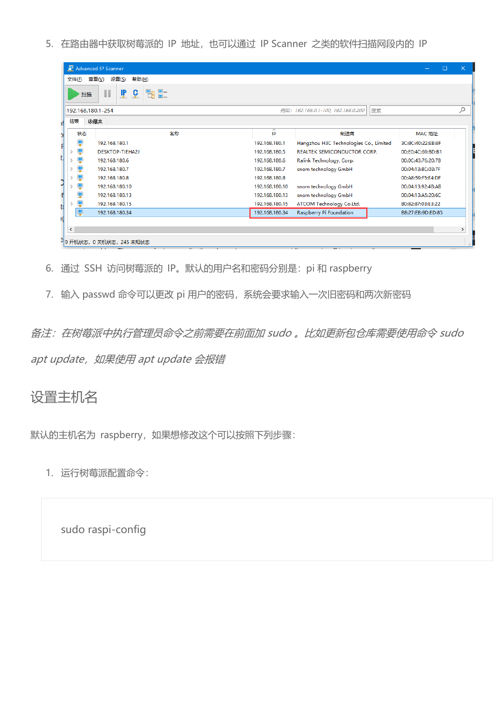5. 在路由器中获取树莓派的 IP 地址, 也可以通过 IP Scanner 之类的软件扫描网段内的 IP

|                   | Advanced IP Scanner                                    |                |                                          | $\Box$            | $\times$ |
|-------------------|--------------------------------------------------------|----------------|------------------------------------------|-------------------|----------|
| 文件(E)             | 帮助(H)<br>设置( <u>S</u> )<br><b>查看①</b>                  |                |                                          |                   |          |
| 扫描                | <b>B</b> <sub>B</sub> <sub>B</sub><br>Ш<br><u>le</u> c |                |                                          |                   |          |
| 192.168.180.1-254 |                                                        |                | 搜索<br>例如: 192.168.0.1-100, 192.168.0.200 |                   | Q        |
| 结果                | 收藏夹                                                    |                |                                          |                   |          |
| 状态                | 名称                                                     | îP             | 制造商                                      | MAC 地址            |          |
| ş                 | 192.168.180.1                                          | 192.168.180.1  | Hangzhou H3C Technologies Co., Limited   | 3C:8C:40:22:EB:8F |          |
| ş                 | <b>DESKTOP-TIEHA2J</b>                                 | 192.168.180.5  | REALTEK SEMICONDUCTOR CORP.              | 00:E0:4C:69:BD:B1 |          |
| ş                 | 192.168.180.6                                          | 192.168.180.6  | Ralink Technology, Corp.                 | 00:0C:43:76:20:78 |          |
| ş                 | 192.168.180.7                                          | 192.168.180.7  | snom technology GmbH                     | 00:04:13:8C:03:7F |          |
| ş                 | 192.168.180.8                                          | 192.168.180.8  |                                          | 00:A8:59:F5:E4:DF |          |
| Ļ                 | 192.168.180.10                                         | 192.168.180.10 | snom technology GmbH                     | 00:04:13:92:4B:AB |          |
| ş                 | 192.168.180.13                                         | 192.168.180.13 | snom technology GmbH                     | 00:04:13:A5:20:6C |          |
| ᇦ                 | 192.168.180.15                                         | 192.168.180.15 | ATCOM Technology Co.Ltd.                 | 80:82:87:03:E3:22 |          |
| ç                 | 192.168.180.34                                         | 192.168.180.34 | Raspberry Pi Foundation                  | B8:27:EB:9D:ED:85 |          |
|                   |                                                        |                |                                          |                   |          |
| $\checkmark$      |                                                        |                |                                          |                   | ⋗        |
|                   | 3 9 开机状态, 0 关机状态,<br>245 未知状态<br><b>SALE</b><br>1999.  |                | 1, 19<br>$\mathbf{r}$<br>$\mathbf{r}$    |                   |          |

- 6. 通过 SSH 访问树莓派的 IP。默认的用户名和密码分别是:pi 和 raspberry
- 7. 输入 passwd 命令可以更改 pi 用户的密码, 系统会要求输入一次旧密码和两次新密码

备注:在树莓派中执行管理员命令之前需要在前面加 sudo 。比如更新包仓库需要使用命令 sudo apt update, 如果使用 apt update 会报错

设置主机名

默认的主机名为 raspberry, 如果想修改这个可以按照下列步骤:

1. 运行树莓派配置命令:

sudo raspi-config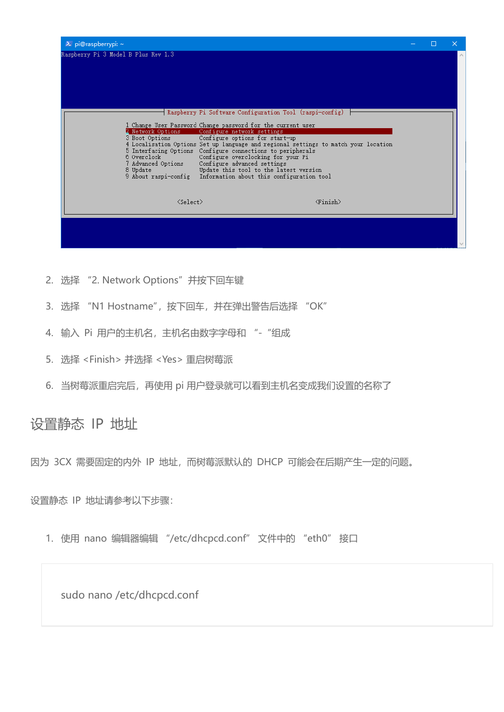| Raspberry Pi 3 Model B Plus Rev 1.3<br>Raspberry Pi Software Configuration Tool (raspi-config)<br>1 Change User Password Change password for the current user<br>2. Network Options<br>Configure network settings<br>3 Boot Options<br>Configure options for start-up<br>4 Localisation Options Set up language and regional settings to match your location<br>5 Interfacing Options Configure connections to peripherals<br>6 Overclock<br>Configure overclocking for your Pi<br>7 Advanced Options<br>Configure advanced settings<br>Update this tool to the latest version<br>8 Update<br>9 About raspi-config<br>Information about this configuration tool | $\lambda$ pi@raspberrypi: ~ |  |  |
|-----------------------------------------------------------------------------------------------------------------------------------------------------------------------------------------------------------------------------------------------------------------------------------------------------------------------------------------------------------------------------------------------------------------------------------------------------------------------------------------------------------------------------------------------------------------------------------------------------------------------------------------------------------------|-----------------------------|--|--|
|                                                                                                                                                                                                                                                                                                                                                                                                                                                                                                                                                                                                                                                                 |                             |  |  |
|                                                                                                                                                                                                                                                                                                                                                                                                                                                                                                                                                                                                                                                                 |                             |  |  |
| $\langle$ Select $\rangle$<br>$\langle$ Finish $\rangle$                                                                                                                                                                                                                                                                                                                                                                                                                                                                                                                                                                                                        |                             |  |  |

- 2. 选择 "2. Network Options"并按下回车键
- 3. 选择 "N1 Hostname", 按下回车, 并在弹出警告后选择 "OK"
- 4. 输入 Pi 用户的主机名,主机名由数字字母和 "-"组成
- 5. 选择 <Finish> 并选择 <Yes> 重启树莓派
- 6. 当树莓派重启完后,再使用 pi 用户登录就可以看到主机名变成我们设置的名称了

设置静态 IP 地址

因为 3CX 需要固定的内外 IP 地址,而树莓派默认的 DHCP 可能会在后期产生一定的问题。

设置静态 IP 地址请参考以下步骤:

1. 使用 nano 编辑器编辑 "/etc/dhcpcd.conf" 文件中的 "eth0" 接口

sudo nano /etc/dhcpcd.conf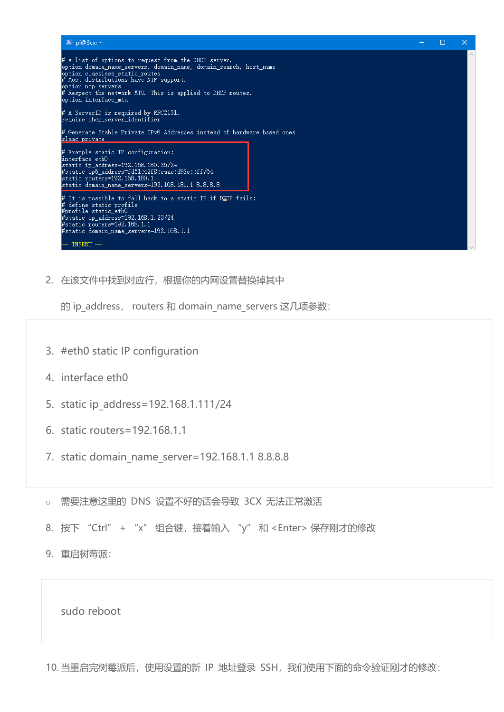

2. 在该文件中找到对应行,根据你的内网设置替换掉其中

的 ip\_address, routers 和 domain\_name\_servers 这几项参数:

- 3. #eth0 static IP configuration
- 4. interface eth0
- 5. static ip\_address=192.168.1.111/24
- 6. static routers=192.168.1.1
- 7. static domain\_name\_server=192.168.1.1 8.8.8.8
- o 需要注意这里的 DNS 设置不好的话会导致 3CX 无法正常激活
- 8. 按下 "Ctrl" + "x" 组合键,接着输入 "y" 和 <Enter> 保存刚才的修改
- 9. 重启树莓派:

sudo reboot

10. 当重启完树莓派后, 使用设置的新 IP 地址登录 SSH, 我们使用下面的命令验证刚才的修改: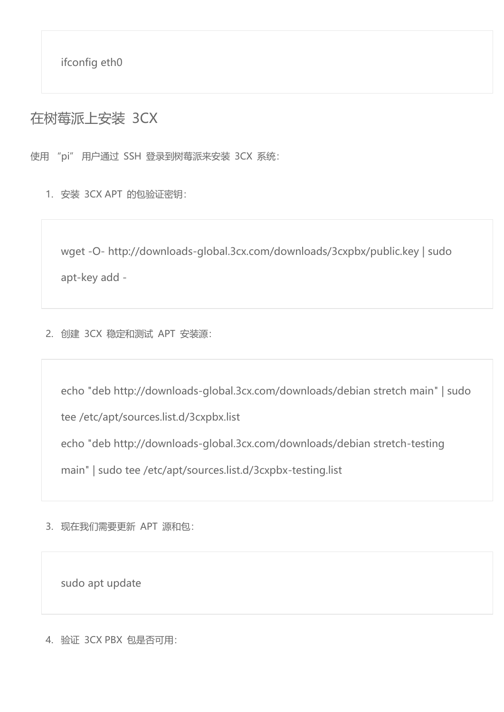ifconfig eth0

## 在树莓派上安装 3CX

使用 "pi" 用户通过 SSH 登录到树莓派来安装 3CX 系统:

1. 安装 3CX APT 的包验证密钥:

wget -O- http://downloads-global.3cx.com/downloads/3cxpbx/public.key | sudo apt-key add -

2. 创建 3CX 稳定和测试 APT 安装源:

echo "deb http://downloads-global.3cx.com/downloads/debian stretch main" | sudo

tee /etc/apt/sources.list.d/3cxpbx.list

echo "deb http://downloads-global.3cx.com/downloads/debian stretch-testing

main" | sudo tee /etc/apt/sources.list.d/3cxpbx-testing.list

3. 现在我们需要更新 APT 源和包:

sudo apt update

4. 验证 3CX PBX 包是否可用: